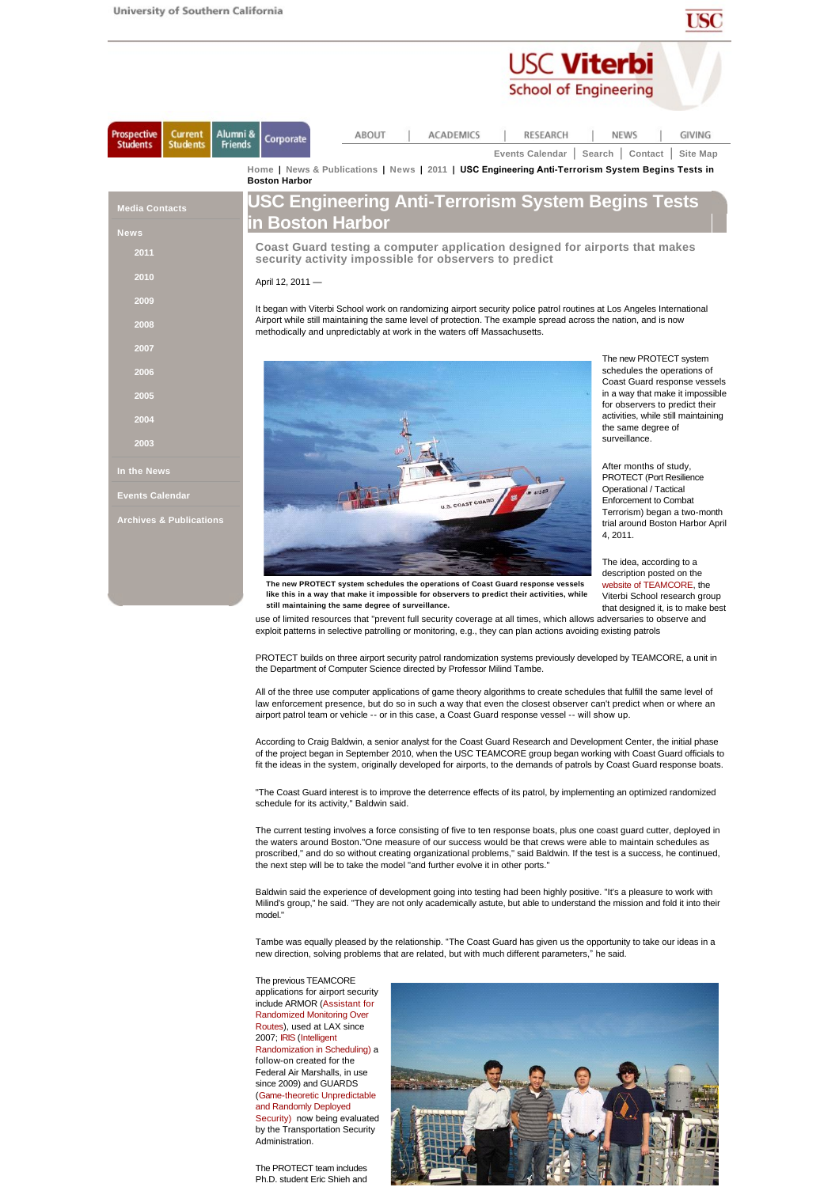| ۰ | _______ |  |
|---|---------|--|

**USC Viterbi** 

|                                                              | <b>School of Engineering</b>                                                                                                                                                              |                                                                                                                                   |
|--------------------------------------------------------------|-------------------------------------------------------------------------------------------------------------------------------------------------------------------------------------------|-----------------------------------------------------------------------------------------------------------------------------------|
| Prospective<br>Current<br><b>Students</b><br><b>Students</b> | Alumni &<br><b>ABOUT</b><br><b>ACADEMICS</b><br><b>RESEARCH</b><br>Corporate<br><b>Friends</b><br><b>Events Calendar</b>                                                                  | <b>NEWS</b><br>GIVING<br>Search   Contact  <br>Site Map                                                                           |
|                                                              | Home   News & Publications   News   2011   USC Engineering Anti-Terrorism System Begins Tests in<br><b>Boston Harbor</b>                                                                  |                                                                                                                                   |
| <b>Media Contacts</b><br><b>News</b>                         | USC Engineering Anti-Terrorism System Begins Tests<br>in Boston Harbor                                                                                                                    |                                                                                                                                   |
| 2011                                                         | Coast Guard testing a computer application designed for airports that makes<br>security activity impossible for observers to predict                                                      |                                                                                                                                   |
| 2010                                                         | April 12, 2011 -                                                                                                                                                                          |                                                                                                                                   |
| 2009                                                         | It began with Viterbi School work on randomizing airport security police patrol routines at Los Angeles International                                                                     |                                                                                                                                   |
| 2008                                                         | Airport while still maintaining the same level of protection. The example spread across the nation, and is now<br>methodically and unpredictably at work in the waters off Massachusetts. |                                                                                                                                   |
| 2007                                                         |                                                                                                                                                                                           | The new PROTECT system                                                                                                            |
| 2006<br>2005                                                 |                                                                                                                                                                                           | schedules the operations of<br>Coast Guard response vessels<br>in a way that make it impossible<br>for observers to predict their |
| 2004                                                         |                                                                                                                                                                                           | activities, while still maintaining<br>the same degree of<br>surveillance.                                                        |
| 2003                                                         |                                                                                                                                                                                           |                                                                                                                                   |
| In the News                                                  |                                                                                                                                                                                           | After months of study,<br><b>PROTECT (Port Resilience)</b>                                                                        |
| <b>Events Calendar</b>                                       | U.S. COAST GUARD                                                                                                                                                                          | Operational / Tactical<br><b>Enforcement to Combat</b>                                                                            |
| <b>Archives &amp; Publications</b>                           |                                                                                                                                                                                           | Terrorism) began a two-month<br>trial around Boston Harbor April<br>4.2011.                                                       |
|                                                              | The new PROTECT system schedules the operations of Coast Guard response vessels                                                                                                           | The idea, according to a<br>description posted on the<br>website of TEAMCORE, the                                                 |
|                                                              | like this in a way that make it impossible for observers to predict their activities, while<br>still maintaining the same degree of surveillance.                                         | Viterbi School research group<br>that designed it, is to make best                                                                |

use of limited resources that "prevent full security coverage at all times, which allows adversaries to observe and exploit patterns in selective patrolling or monitoring, e.g., they can plan actions avoiding existing patrols

PROTECT builds on three airport security patrol randomization systems previously developed by TEAMCORE, a unit in the Department of Computer Science directed by Professor Milind Tambe.

All of the three use computer applications of game theory algorithms to create schedules that fulfill the same level of law enforcement presence, but do so in such a way that even the closest observer can't predict when or where an airport patrol team or vehicle -- or in this case, a Coast Guard response vessel -- will show up.

According to Craig Baldwin, a senior analyst for the Coast Guard Research and Development Center, the initial phase of the project began in September 2010, when the USC TEAMCORE group began working with Coast Guard officials to fit the ideas in the system, originally developed for airports, to the demands of patrols by Coast Guard response boats.

"The Coast Guard interest is to improve the deterrence effects of its patrol, by implementing an optimized randomized schedule for its activity," Baldwin said.

The current testing involves a force consisting of five to ten response boats, plus one coast guard cutter, deployed in the waters around Boston."One measure of our success would be that crews were able to maintain schedules as proscribed," and do so without creating organizational problems," said Baldwin. If the test is a success, he continued, the next step will be to take the model "and further evolve it in other ports."

Baldwin said the experience of development going into testing had been highly positive. "It's a pleasure to work with Milind's group," he said. "They are not only academically astute, but able to understand the mission and fold it into their model.

Tambe was equally pleased by the relationship. "The Coast Guard has given us the opportunity to take our ideas in a new direction, solving problems that are related, but with much different parameters," he said.

The previous TEAMCORE applications for airport security include ARMOR (Assistant for Randomized Monitoring Over Routes), used at LAX since 2007; IRIS (Intelligent Randomization in Scheduling) a follow-on created for the Federal Air Marshalls, in use since 2009) and GUARDS (Game-theoretic Unpredictable and Randomly Deployed Security) now being evaluated by the Transportation Security **Administration** 

The PROTECT team includes Ph.D. student Eric Shieh and